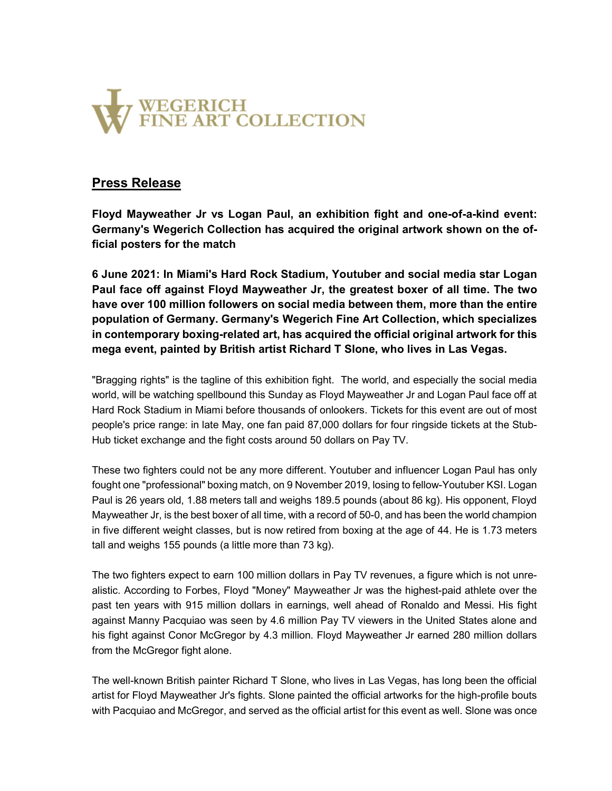

## Press Release

Floyd Mayweather Jr vs Logan Paul, an exhibition fight and one-of-a-kind event: Germany's Wegerich Collection has acquired the original artwork shown on the official posters for the match

6 June 2021: In Miami's Hard Rock Stadium, Youtuber and social media star Logan Paul face off against Floyd Mayweather Jr, the greatest boxer of all time. The two have over 100 million followers on social media between them, more than the entire population of Germany. Germany's Wegerich Fine Art Collection, which specializes in contemporary boxing-related art, has acquired the official original artwork for this mega event, painted by British artist Richard T Slone, who lives in Las Vegas.

"Bragging rights" is the tagline of this exhibition fight. The world, and especially the social media world, will be watching spellbound this Sunday as Floyd Mayweather Jr and Logan Paul face off at Hard Rock Stadium in Miami before thousands of onlookers. Tickets for this event are out of most people's price range: in late May, one fan paid 87,000 dollars for four ringside tickets at the Stub-Hub ticket exchange and the fight costs around 50 dollars on Pay TV.

These two fighters could not be any more different. Youtuber and influencer Logan Paul has only fought one "professional" boxing match, on 9 November 2019, losing to fellow-Youtuber KSI. Logan Paul is 26 years old, 1.88 meters tall and weighs 189.5 pounds (about 86 kg). His opponent, Floyd Mayweather Jr, is the best boxer of all time, with a record of 50-0, and has been the world champion in five different weight classes, but is now retired from boxing at the age of 44. He is 1.73 meters tall and weighs 155 pounds (a little more than 73 kg).

The two fighters expect to earn 100 million dollars in Pay TV revenues, a figure which is not unrealistic. According to Forbes, Floyd "Money" Mayweather Jr was the highest-paid athlete over the past ten years with 915 million dollars in earnings, well ahead of Ronaldo and Messi. His fight against Manny Pacquiao was seen by 4.6 million Pay TV viewers in the United States alone and his fight against Conor McGregor by 4.3 million. Floyd Mayweather Jr earned 280 million dollars from the McGregor fight alone.

The well-known British painter Richard T Slone, who lives in Las Vegas, has long been the official artist for Floyd Mayweather Jr's fights. Slone painted the official artworks for the high-profile bouts with Pacquiao and McGregor, and served as the official artist for this event as well. Slone was once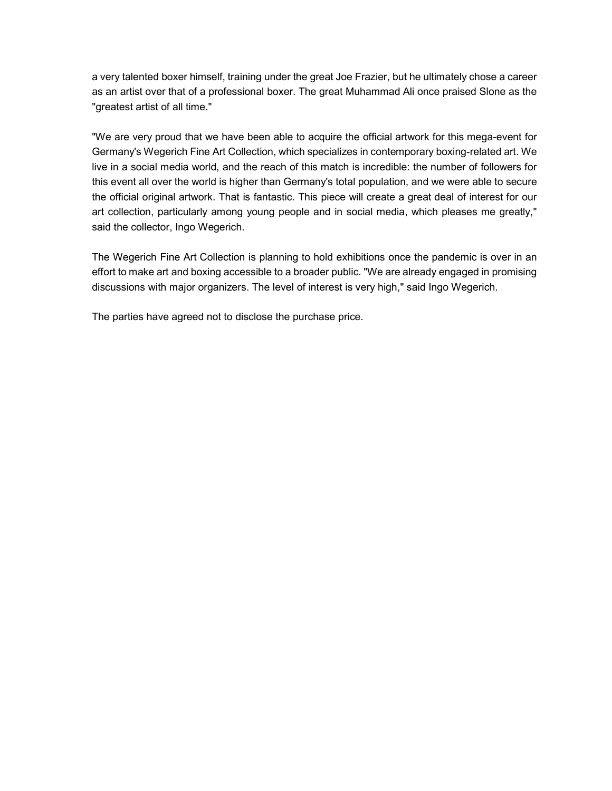a very talented boxer himself, training under the great Joe Frazier, but he ultimately chose a career as an artist over that of a professional boxer. The great Muhammad Ali once praised Slone as the "greatest artist of all time."

"We are very proud that we have been able to acquire the official artwork for this mega-event for Germany's Wegerich Fine Art Collection, which specializes in contemporary boxing-related art. We live in a social media world, and the reach of this match is incredible: the number of followers for this event all over the world is higher than Germany's total population, and we were able to secure the official original artwork. That is fantastic. This piece will create a great deal of interest for our art collection, particularly among young people and in social media, which pleases me greatly," said the collector, Ingo Wegerich.

The Wegerich Fine Art Collection is planning to hold exhibitions once the pandemic is over in an effort to make art and boxing accessible to a broader public. "We are already engaged in promising discussions with major organizers. The level of interest is very high," said Ingo Wegerich.

The parties have agreed not to disclose the purchase price.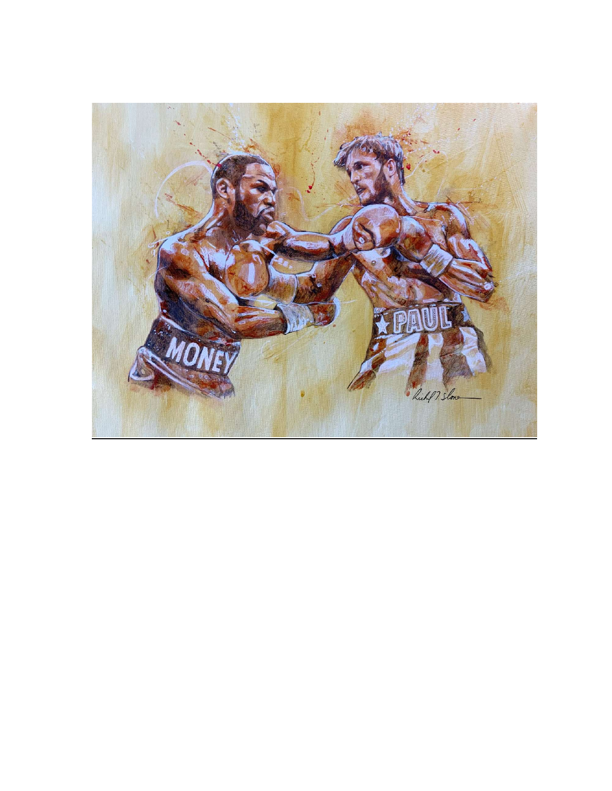